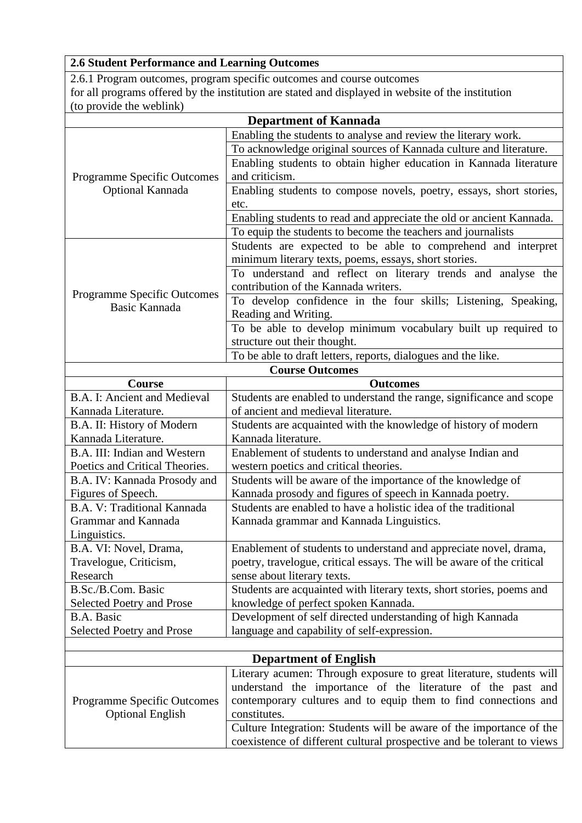## **2.6 Student Performance and Learning Outcomes**

2.6.1 Program outcomes, program specific outcomes and course outcomes for all programs offered by the institution are stated and displayed in website of the institution (to provide the weblink)

|                                                        | <b>Department of Kannada</b>                                           |  |
|--------------------------------------------------------|------------------------------------------------------------------------|--|
|                                                        | Enabling the students to analyse and review the literary work.         |  |
| <b>Programme Specific Outcomes</b><br>Optional Kannada | To acknowledge original sources of Kannada culture and literature.     |  |
|                                                        | Enabling students to obtain higher education in Kannada literature     |  |
|                                                        | and criticism.                                                         |  |
|                                                        | Enabling students to compose novels, poetry, essays, short stories,    |  |
|                                                        | etc.                                                                   |  |
|                                                        | Enabling students to read and appreciate the old or ancient Kannada.   |  |
|                                                        | To equip the students to become the teachers and journalists           |  |
|                                                        | Students are expected to be able to comprehend and interpret           |  |
|                                                        | minimum literary texts, poems, essays, short stories.                  |  |
|                                                        | To understand and reflect on literary trends and analyse the           |  |
|                                                        | contribution of the Kannada writers.                                   |  |
| <b>Programme Specific Outcomes</b>                     | To develop confidence in the four skills; Listening, Speaking,         |  |
| Basic Kannada                                          | Reading and Writing.                                                   |  |
|                                                        | To be able to develop minimum vocabulary built up required to          |  |
|                                                        | structure out their thought.                                           |  |
|                                                        | To be able to draft letters, reports, dialogues and the like.          |  |
| <b>Course Outcomes</b>                                 |                                                                        |  |
| Course                                                 | <b>Outcomes</b>                                                        |  |
| B.A. I: Ancient and Medieval                           | Students are enabled to understand the range, significance and scope   |  |
| Kannada Literature.                                    | of ancient and medieval literature.                                    |  |
| B.A. II: History of Modern                             | Students are acquainted with the knowledge of history of modern        |  |
| Kannada Literature.                                    | Kannada literature.                                                    |  |
| B.A. III: Indian and Western                           | Enablement of students to understand and analyse Indian and            |  |
| Poetics and Critical Theories.                         | western poetics and critical theories.                                 |  |
| B.A. IV: Kannada Prosody and                           | Students will be aware of the importance of the knowledge of           |  |
| Figures of Speech.                                     | Kannada prosody and figures of speech in Kannada poetry.               |  |
| B.A. V: Traditional Kannada                            | Students are enabled to have a holistic idea of the traditional        |  |
| Grammar and Kannada                                    | Kannada grammar and Kannada Linguistics.                               |  |
| Linguistics.                                           |                                                                        |  |
| B.A. VI: Novel, Drama,                                 | Enablement of students to understand and appreciate novel, drama,      |  |
| Travelogue, Criticism,                                 | poetry, travelogue, critical essays. The will be aware of the critical |  |
| Research                                               | sense about literary texts.                                            |  |
| B.Sc./B.Com. Basic                                     | Students are acquainted with literary texts, short stories, poems and  |  |
| <b>Selected Poetry and Prose</b>                       | knowledge of perfect spoken Kannada.                                   |  |
| <b>B.A. Basic</b>                                      | Development of self directed understanding of high Kannada             |  |
| <b>Selected Poetry and Prose</b>                       | language and capability of self-expression.                            |  |
|                                                        |                                                                        |  |
|                                                        | <b>Department of English</b>                                           |  |
|                                                        | Literary acumen: Through exposure to great literature, students will   |  |
|                                                        | understand the importance of the literature of the past and            |  |
| <b>Programme Specific Outcomes</b>                     | contemporary cultures and to equip them to find connections and        |  |
| <b>Optional English</b>                                | constitutes.                                                           |  |

Culture Integration: Students will be aware of the importance of the coexistence of different cultural prospective and be tolerant to views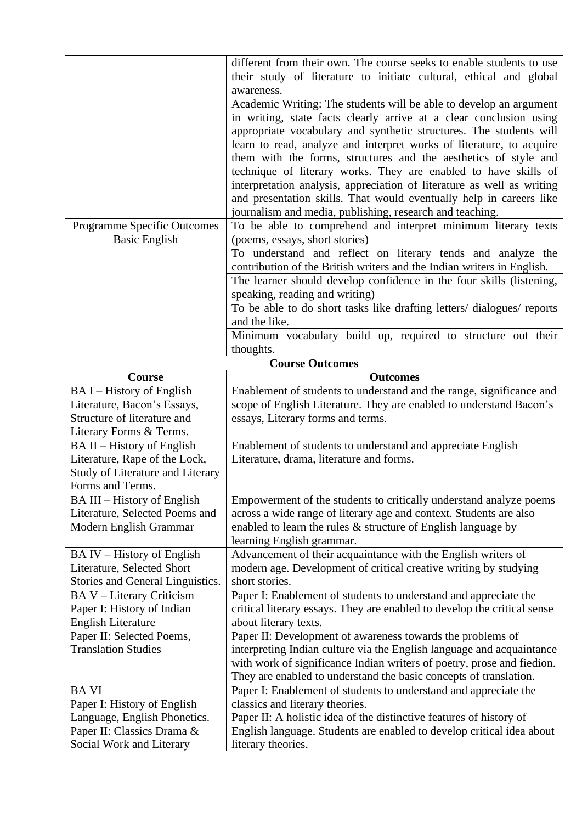|                                                                                                                                                 | different from their own. The course seeks to enable students to use<br>their study of literature to initiate cultural, ethical and global<br>awareness.                                                                                                                                                                                                                                                                                                                                                                                                                                                                                  |
|-------------------------------------------------------------------------------------------------------------------------------------------------|-------------------------------------------------------------------------------------------------------------------------------------------------------------------------------------------------------------------------------------------------------------------------------------------------------------------------------------------------------------------------------------------------------------------------------------------------------------------------------------------------------------------------------------------------------------------------------------------------------------------------------------------|
|                                                                                                                                                 | Academic Writing: The students will be able to develop an argument<br>in writing, state facts clearly arrive at a clear conclusion using<br>appropriate vocabulary and synthetic structures. The students will<br>learn to read, analyze and interpret works of literature, to acquire<br>them with the forms, structures and the aesthetics of style and<br>technique of literary works. They are enabled to have skills of<br>interpretation analysis, appreciation of literature as well as writing<br>and presentation skills. That would eventually help in careers like<br>journalism and media, publishing, research and teaching. |
| Programme Specific Outcomes<br><b>Basic English</b>                                                                                             | To be able to comprehend and interpret minimum literary texts<br>(poems, essays, short stories)                                                                                                                                                                                                                                                                                                                                                                                                                                                                                                                                           |
|                                                                                                                                                 | To understand and reflect on literary tends and analyze the<br>contribution of the British writers and the Indian writers in English.                                                                                                                                                                                                                                                                                                                                                                                                                                                                                                     |
|                                                                                                                                                 | The learner should develop confidence in the four skills (listening,<br>speaking, reading and writing)<br>To be able to do short tasks like drafting letters/ dialogues/ reports                                                                                                                                                                                                                                                                                                                                                                                                                                                          |
|                                                                                                                                                 | and the like.<br>Minimum vocabulary build up, required to structure out their<br>thoughts.                                                                                                                                                                                                                                                                                                                                                                                                                                                                                                                                                |
|                                                                                                                                                 | <b>Course Outcomes</b>                                                                                                                                                                                                                                                                                                                                                                                                                                                                                                                                                                                                                    |
| Course                                                                                                                                          | <b>Outcomes</b>                                                                                                                                                                                                                                                                                                                                                                                                                                                                                                                                                                                                                           |
| BA I - History of English                                                                                                                       | Enablement of students to understand and the range, significance and                                                                                                                                                                                                                                                                                                                                                                                                                                                                                                                                                                      |
| Literature, Bacon's Essays,<br>Structure of literature and<br>Literary Forms & Terms.                                                           | scope of English Literature. They are enabled to understand Bacon's<br>essays, Literary forms and terms.                                                                                                                                                                                                                                                                                                                                                                                                                                                                                                                                  |
| BA II – History of English<br>Literature, Rape of the Lock,<br><b>Study of Literature and Literary</b><br>Forms and Terms.                      | Enablement of students to understand and appreciate English<br>Literature, drama, literature and forms.                                                                                                                                                                                                                                                                                                                                                                                                                                                                                                                                   |
| BA III – History of English<br>Literature, Selected Poems and<br>Modern English Grammar                                                         | Empowerment of the students to critically understand analyze poems<br>across a wide range of literary age and context. Students are also<br>enabled to learn the rules $\&$ structure of English language by<br>learning English grammar.                                                                                                                                                                                                                                                                                                                                                                                                 |
| BA IV - History of English<br>Literature, Selected Short<br>Stories and General Linguistics.                                                    | Advancement of their acquaintance with the English writers of<br>modern age. Development of critical creative writing by studying<br>short stories.                                                                                                                                                                                                                                                                                                                                                                                                                                                                                       |
| BA V - Literary Criticism<br>Paper I: History of Indian<br><b>English Literature</b><br>Paper II: Selected Poems,<br><b>Translation Studies</b> | Paper I: Enablement of students to understand and appreciate the<br>critical literary essays. They are enabled to develop the critical sense<br>about literary texts.<br>Paper II: Development of awareness towards the problems of<br>interpreting Indian culture via the English language and acquaintance<br>with work of significance Indian writers of poetry, prose and fiedion.<br>They are enabled to understand the basic concepts of translation.                                                                                                                                                                               |
| <b>BA VI</b><br>Paper I: History of English<br>Language, English Phonetics.<br>Paper II: Classics Drama &<br>Social Work and Literary           | Paper I: Enablement of students to understand and appreciate the<br>classics and literary theories.<br>Paper II: A holistic idea of the distinctive features of history of<br>English language. Students are enabled to develop critical idea about<br>literary theories.                                                                                                                                                                                                                                                                                                                                                                 |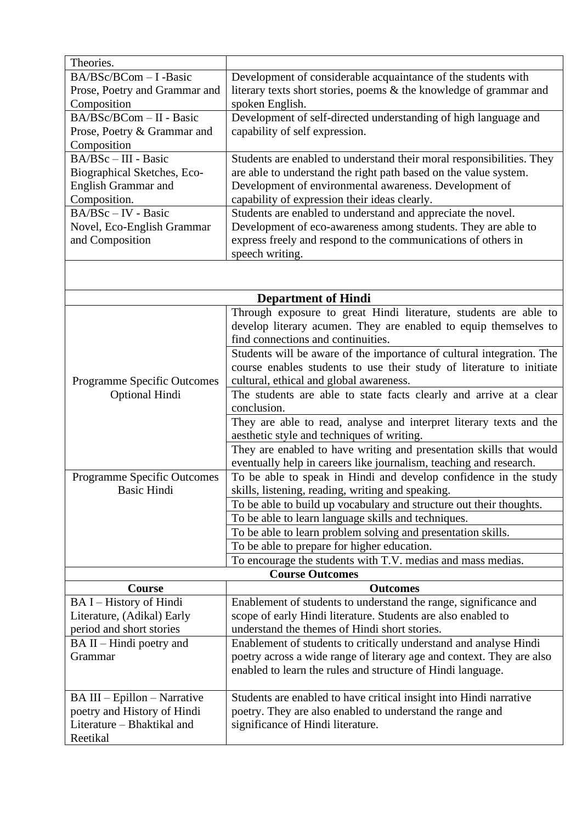| Theories.                          |                                                                       |
|------------------------------------|-----------------------------------------------------------------------|
| BA/BSc/BCom - I -Basic             | Development of considerable acquaintance of the students with         |
| Prose, Poetry and Grammar and      | literary texts short stories, poems & the knowledge of grammar and    |
| Composition                        | spoken English.                                                       |
| BA/BSc/BCom - II - Basic           | Development of self-directed understanding of high language and       |
| Prose, Poetry & Grammar and        | capability of self expression.                                        |
| Composition                        |                                                                       |
| BA/BSc - III - Basic               | Students are enabled to understand their moral responsibilities. They |
| Biographical Sketches, Eco-        | are able to understand the right path based on the value system.      |
| <b>English Grammar and</b>         | Development of environmental awareness. Development of                |
| Composition.                       | capability of expression their ideas clearly.                         |
| BA/BSc - IV - Basic                | Students are enabled to understand and appreciate the novel.          |
| Novel, Eco-English Grammar         | Development of eco-awareness among students. They are able to         |
| and Composition                    | express freely and respond to the communications of others in         |
|                                    | speech writing.                                                       |
|                                    |                                                                       |
|                                    |                                                                       |
|                                    | <b>Department of Hindi</b>                                            |
|                                    | Through exposure to great Hindi literature, students are able to      |
|                                    | develop literary acumen. They are enabled to equip themselves to      |
|                                    | find connections and continuities.                                    |
|                                    | Students will be aware of the importance of cultural integration. The |
|                                    | course enables students to use their study of literature to initiate  |
| <b>Programme Specific Outcomes</b> | cultural, ethical and global awareness.                               |
| <b>Optional Hindi</b>              | The students are able to state facts clearly and arrive at a clear    |
|                                    | conclusion.                                                           |
|                                    | They are able to read, analyse and interpret literary texts and the   |
|                                    | aesthetic style and techniques of writing.                            |
|                                    | They are enabled to have writing and presentation skills that would   |
|                                    | eventually help in careers like journalism, teaching and research.    |
| <b>Programme Specific Outcomes</b> | To be able to speak in Hindi and develop confidence in the study      |
| Basic Hindi                        | skills, listening, reading, writing and speaking.                     |
|                                    | To be able to build up vocabulary and structure out their thoughts.   |
|                                    | To be able to learn language skills and techniques.                   |
|                                    | To be able to learn problem solving and presentation skills.          |
|                                    | To be able to prepare for higher education.                           |
|                                    | To encourage the students with T.V. medias and mass medias.           |
| <b>Course Outcomes</b>             |                                                                       |
| <b>Course</b>                      | <b>Outcomes</b>                                                       |
| BA I - History of Hindi            | Enablement of students to understand the range, significance and      |
| Literature, (Adikal) Early         | scope of early Hindi literature. Students are also enabled to         |
| period and short stories           | understand the themes of Hindi short stories.                         |
| BA II – Hindi poetry and           | Enablement of students to critically understand and analyse Hindi     |
| Grammar                            | poetry across a wide range of literary age and context. They are also |
|                                    | enabled to learn the rules and structure of Hindi language.           |
|                                    |                                                                       |
| BA III - Epillon - Narrative       | Students are enabled to have critical insight into Hindi narrative    |
| poetry and History of Hindi        | poetry. They are also enabled to understand the range and             |
| Literature – Bhaktikal and         | significance of Hindi literature.                                     |
| Reetikal                           |                                                                       |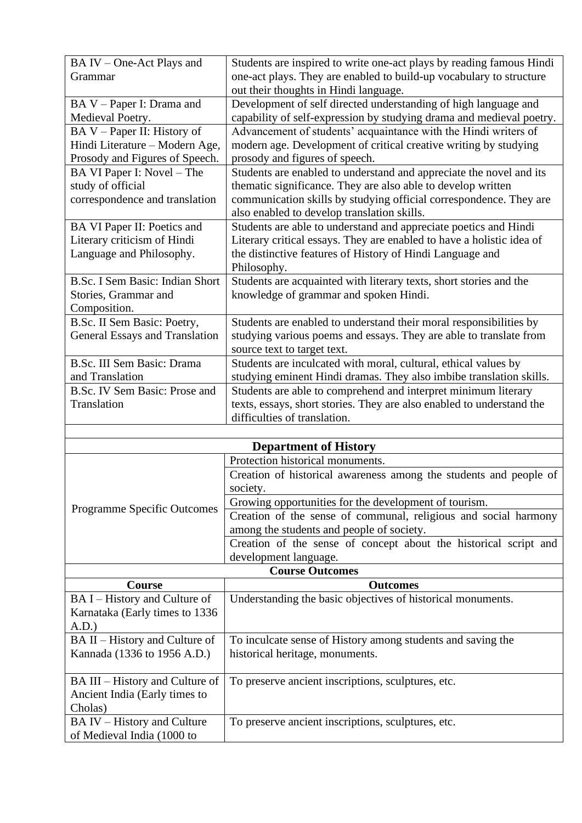| BA IV – One-Act Plays and       | Students are inspired to write one-act plays by reading famous Hindi  |
|---------------------------------|-----------------------------------------------------------------------|
| Grammar                         | one-act plays. They are enabled to build-up vocabulary to structure   |
|                                 | out their thoughts in Hindi language.                                 |
| BA V – Paper I: Drama and       | Development of self directed understanding of high language and       |
| Medieval Poetry.                | capability of self-expression by studying drama and medieval poetry.  |
| BA V – Paper II: History of     | Advancement of students' acquaintance with the Hindi writers of       |
| Hindi Literature - Modern Age,  | modern age. Development of critical creative writing by studying      |
| Prosody and Figures of Speech.  | prosody and figures of speech.                                        |
| BA VI Paper I: Novel – The      | Students are enabled to understand and appreciate the novel and its   |
| study of official               | thematic significance. They are also able to develop written          |
| correspondence and translation  | communication skills by studying official correspondence. They are    |
|                                 | also enabled to develop translation skills.                           |
| BA VI Paper II: Poetics and     | Students are able to understand and appreciate poetics and Hindi      |
| Literary criticism of Hindi     | Literary critical essays. They are enabled to have a holistic idea of |
| Language and Philosophy.        | the distinctive features of History of Hindi Language and             |
|                                 | Philosophy.                                                           |
| B.Sc. I Sem Basic: Indian Short | Students are acquainted with literary texts, short stories and the    |
| Stories, Grammar and            | knowledge of grammar and spoken Hindi.                                |
| Composition.                    |                                                                       |
| B.Sc. II Sem Basic: Poetry,     | Students are enabled to understand their moral responsibilities by    |
| General Essays and Translation  | studying various poems and essays. They are able to translate from    |
|                                 | source text to target text.                                           |
| B.Sc. III Sem Basic: Drama      | Students are inculcated with moral, cultural, ethical values by       |
| and Translation                 | studying eminent Hindi dramas. They also imbibe translation skills.   |
| B.Sc. IV Sem Basic: Prose and   | Students are able to comprehend and interpret minimum literary        |
| Translation                     | texts, essays, short stories. They are also enabled to understand the |
|                                 | difficulties of translation.                                          |
|                                 |                                                                       |

| <b>Department of History</b> |                                                                   |
|------------------------------|-------------------------------------------------------------------|
| Programme Specific Outcomes  | Protection historical monuments.                                  |
|                              | Creation of historical awareness among the students and people of |
|                              | society.                                                          |
|                              | Growing opportunities for the development of tourism.             |
|                              | Creation of the sense of communal, religious and social harmony   |
|                              | among the students and people of society.                         |
|                              | Creation of the sense of concept about the historical script and  |
|                              | development language.                                             |
| <b>Course Outcomes</b>       |                                                                   |

| <b>Course Outcomes</b>          |                                                             |
|---------------------------------|-------------------------------------------------------------|
| <b>Course</b>                   | <b>Outcomes</b>                                             |
| BA I – History and Culture of   | Understanding the basic objectives of historical monuments. |
| Karnataka (Early times to 1336) |                                                             |
| A.D.)                           |                                                             |
| BA II – History and Culture of  | To inculcate sense of History among students and saving the |
| Kannada (1336 to 1956 A.D.)     | historical heritage, monuments.                             |
|                                 |                                                             |
| BA III – History and Culture of | To preserve ancient inscriptions, sculptures, etc.          |
| Ancient India (Early times to   |                                                             |
| Cholas)                         |                                                             |
| BA IV – History and Culture     | To preserve ancient inscriptions, sculptures, etc.          |
| of Medieval India (1000 to      |                                                             |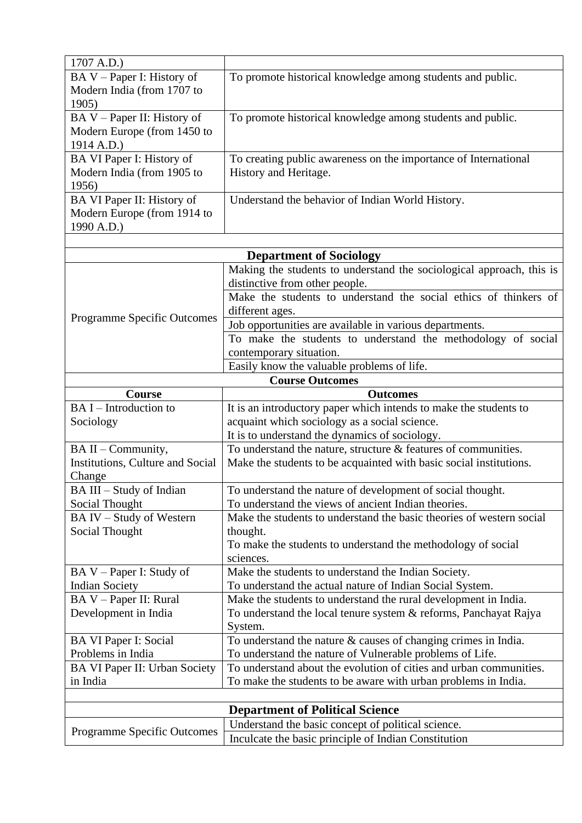| 1707 A.D.)                         |                                                                                                                                |
|------------------------------------|--------------------------------------------------------------------------------------------------------------------------------|
| BA V – Paper I: History of         | To promote historical knowledge among students and public.                                                                     |
| Modern India (from 1707 to         |                                                                                                                                |
| 1905)                              |                                                                                                                                |
| BA V – Paper II: History of        | To promote historical knowledge among students and public.                                                                     |
| Modern Europe (from 1450 to        |                                                                                                                                |
| 1914 A.D.)                         |                                                                                                                                |
| BA VI Paper I: History of          | To creating public awareness on the importance of International                                                                |
| Modern India (from 1905 to         | History and Heritage.                                                                                                          |
| 1956)                              |                                                                                                                                |
| BA VI Paper II: History of         | Understand the behavior of Indian World History.                                                                               |
| Modern Europe (from 1914 to        |                                                                                                                                |
| 1990 A.D.)                         |                                                                                                                                |
|                                    |                                                                                                                                |
|                                    | <b>Department of Sociology</b>                                                                                                 |
|                                    | Making the students to understand the sociological approach, this is                                                           |
|                                    | distinctive from other people.                                                                                                 |
|                                    | Make the students to understand the social ethics of thinkers of                                                               |
| <b>Programme Specific Outcomes</b> | different ages.                                                                                                                |
|                                    | Job opportunities are available in various departments.                                                                        |
|                                    | To make the students to understand the methodology of social                                                                   |
|                                    | contemporary situation.                                                                                                        |
|                                    | Easily know the valuable problems of life.                                                                                     |
|                                    | <b>Course Outcomes</b>                                                                                                         |
| Course                             | <b>Outcomes</b>                                                                                                                |
|                                    |                                                                                                                                |
| BA I – Introduction to             | It is an introductory paper which intends to make the students to                                                              |
| Sociology                          | acquaint which sociology as a social science.                                                                                  |
|                                    | It is to understand the dynamics of sociology.                                                                                 |
| BA II – Community,                 | To understand the nature, structure & features of communities.                                                                 |
| Institutions, Culture and Social   | Make the students to be acquainted with basic social institutions.                                                             |
| Change                             |                                                                                                                                |
| BA III - Study of Indian           | To understand the nature of development of social thought.                                                                     |
| Social Thought                     | To understand the views of ancient Indian theories.                                                                            |
| BA IV - Study of Western           | Make the students to understand the basic theories of western social                                                           |
| Social Thought                     | thought.                                                                                                                       |
|                                    | To make the students to understand the methodology of social                                                                   |
|                                    | sciences.                                                                                                                      |
| $BA V - Paper I: Study of$         | Make the students to understand the Indian Society.                                                                            |
| <b>Indian Society</b>              | To understand the actual nature of Indian Social System.                                                                       |
| BA V - Paper II: Rural             | Make the students to understand the rural development in India.                                                                |
| Development in India               | To understand the local tenure system & reforms, Panchayat Rajya                                                               |
|                                    | System.                                                                                                                        |
| BA VI Paper I: Social              | To understand the nature & causes of changing crimes in India.                                                                 |
| Problems in India                  | To understand the nature of Vulnerable problems of Life.<br>To understand about the evolution of cities and urban communities. |
| BA VI Paper II: Urban Society      |                                                                                                                                |
| in India                           | To make the students to be aware with urban problems in India.                                                                 |
|                                    |                                                                                                                                |
|                                    | <b>Department of Political Science</b>                                                                                         |
| <b>Programme Specific Outcomes</b> | Understand the basic concept of political science.<br>Inculcate the basic principle of Indian Constitution                     |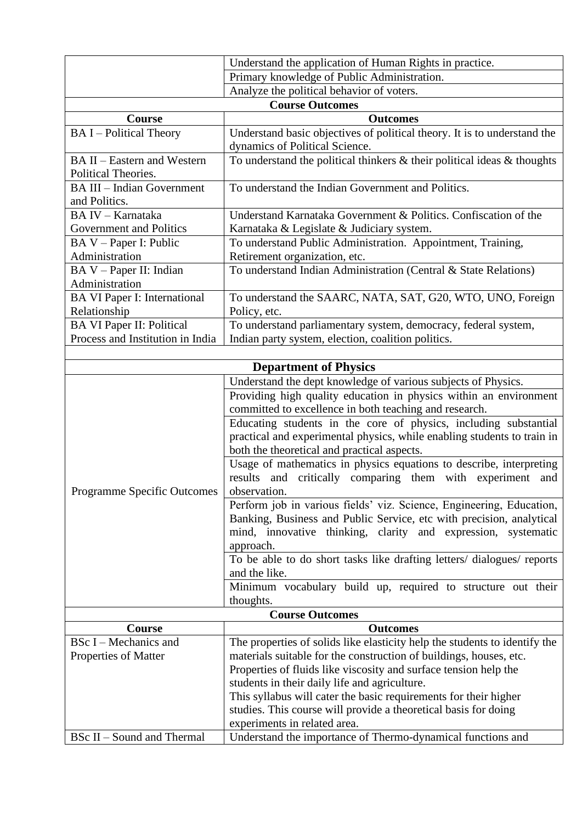|                                          | Understand the application of Human Rights in practice.                                          |
|------------------------------------------|--------------------------------------------------------------------------------------------------|
|                                          | Primary knowledge of Public Administration.                                                      |
|                                          | Analyze the political behavior of voters.                                                        |
|                                          | <b>Course Outcomes</b>                                                                           |
| <b>Course</b>                            | <b>Outcomes</b>                                                                                  |
| <b>BAI</b> – Political Theory            | Understand basic objectives of political theory. It is to understand the                         |
|                                          | dynamics of Political Science.                                                                   |
| <b>BA II - Eastern and Western</b>       | To understand the political thinkers $\&$ their political ideas $\&$ thoughts                    |
| Political Theories.                      |                                                                                                  |
| <b>BA III – Indian Government</b>        | To understand the Indian Government and Politics.                                                |
| and Politics.                            |                                                                                                  |
| BA IV - Karnataka                        | Understand Karnataka Government & Politics. Confiscation of the                                  |
| Government and Politics                  | Karnataka & Legislate & Judiciary system.                                                        |
| BA V - Paper I: Public<br>Administration | To understand Public Administration. Appointment, Training,                                      |
| BA V - Paper II: Indian                  | Retirement organization, etc.<br>To understand Indian Administration (Central & State Relations) |
| Administration                           |                                                                                                  |
| <b>BA VI Paper I: International</b>      | To understand the SAARC, NATA, SAT, G20, WTO, UNO, Foreign                                       |
| Relationship                             | Policy, etc.                                                                                     |
| <b>BA VI Paper II: Political</b>         | To understand parliamentary system, democracy, federal system,                                   |
| Process and Institution in India         | Indian party system, election, coalition politics.                                               |
|                                          |                                                                                                  |
|                                          | <b>Department of Physics</b>                                                                     |
|                                          | Understand the dept knowledge of various subjects of Physics.                                    |
|                                          | Providing high quality education in physics within an environment                                |
|                                          | committed to excellence in both teaching and research.                                           |
|                                          | Educating students in the core of physics, including substantial                                 |
|                                          | practical and experimental physics, while enabling students to train in                          |
|                                          | both the theoretical and practical aspects.                                                      |
|                                          | Usage of mathematics in physics equations to describe, interpreting                              |
|                                          | results and critically comparing them with experiment and                                        |
| Programme Specific Outcomes              | observation.                                                                                     |
|                                          | Perform job in various fields' viz. Science, Engineering, Education,                             |
|                                          | Banking, Business and Public Service, etc with precision, analytical                             |
|                                          | mind, innovative thinking, clarity and expression, systematic                                    |
|                                          | approach.                                                                                        |
|                                          | To be able to do short tasks like drafting letters/ dialogues/ reports                           |
|                                          | and the like.                                                                                    |
|                                          | Minimum vocabulary build up, required to structure out their                                     |
|                                          | thoughts.<br><b>Course Outcomes</b>                                                              |
| Course                                   | <b>Outcomes</b>                                                                                  |
| BSc I – Mechanics and                    | The properties of solids like elasticity help the students to identify the                       |
| Properties of Matter                     | materials suitable for the construction of buildings, houses, etc.                               |
|                                          | Properties of fluids like viscosity and surface tension help the                                 |
|                                          | students in their daily life and agriculture.                                                    |
|                                          | This syllabus will cater the basic requirements for their higher                                 |
|                                          | studies. This course will provide a theoretical basis for doing                                  |
|                                          | experiments in related area.                                                                     |
| <b>BSc II - Sound and Thermal</b>        | Understand the importance of Thermo-dynamical functions and                                      |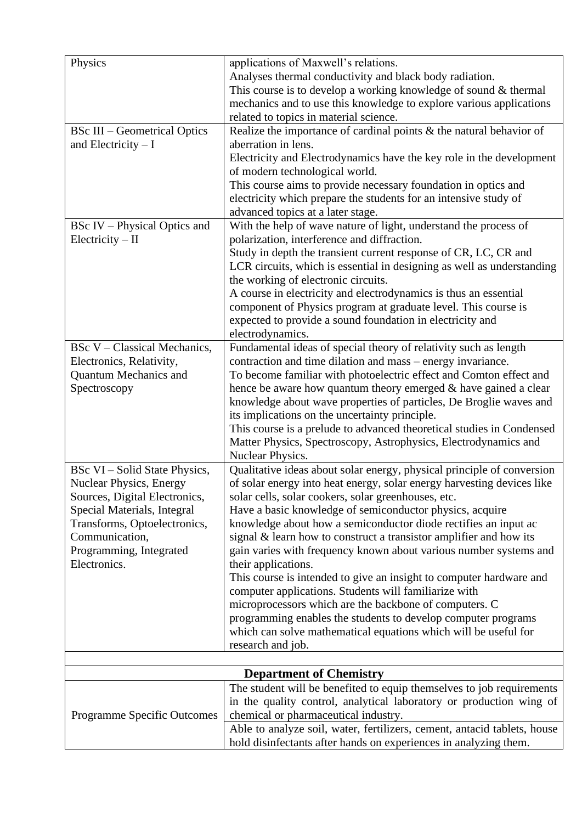| Physics                             | applications of Maxwell's relations.                                     |
|-------------------------------------|--------------------------------------------------------------------------|
|                                     | Analyses thermal conductivity and black body radiation.                  |
|                                     | This course is to develop a working knowledge of sound & thermal         |
|                                     |                                                                          |
|                                     | mechanics and to use this knowledge to explore various applications      |
|                                     | related to topics in material science.                                   |
| <b>BSc III – Geometrical Optics</b> | Realize the importance of cardinal points $\&$ the natural behavior of   |
| and Electricity $-I$                | aberration in lens.                                                      |
|                                     | Electricity and Electrodynamics have the key role in the development     |
|                                     | of modern technological world.                                           |
|                                     | This course aims to provide necessary foundation in optics and           |
|                                     | electricity which prepare the students for an intensive study of         |
|                                     | advanced topics at a later stage.                                        |
| <b>BSc IV</b> – Physical Optics and | With the help of wave nature of light, understand the process of         |
| Electricity – II                    | polarization, interference and diffraction.                              |
|                                     | Study in depth the transient current response of CR, LC, CR and          |
|                                     | LCR circuits, which is essential in designing as well as understanding   |
|                                     | the working of electronic circuits.                                      |
|                                     | A course in electricity and electrodynamics is thus an essential         |
|                                     | component of Physics program at graduate level. This course is           |
|                                     |                                                                          |
|                                     | expected to provide a sound foundation in electricity and                |
|                                     | electrodynamics.                                                         |
| <b>BSc V</b> – Classical Mechanics, | Fundamental ideas of special theory of relativity such as length         |
| Electronics, Relativity,            | contraction and time dilation and mass – energy invariance.              |
| <b>Quantum Mechanics and</b>        | To become familiar with photoelectric effect and Comton effect and       |
| Spectroscopy                        | hence be aware how quantum theory emerged $\&$ have gained a clear       |
|                                     | knowledge about wave properties of particles, De Broglie waves and       |
|                                     | its implications on the uncertainty principle.                           |
|                                     | This course is a prelude to advanced theoretical studies in Condensed    |
|                                     | Matter Physics, Spectroscopy, Astrophysics, Electrodynamics and          |
|                                     | Nuclear Physics.                                                         |
| BSc VI – Solid State Physics,       | Qualitative ideas about solar energy, physical principle of conversion   |
| <b>Nuclear Physics, Energy</b>      | of solar energy into heat energy, solar energy harvesting devices like   |
| Sources, Digital Electronics,       | solar cells, solar cookers, solar greenhouses, etc.                      |
| Special Materials, Integral         | Have a basic knowledge of semiconductor physics, acquire                 |
| Transforms, Optoelectronics,        | knowledge about how a semiconductor diode rectifies an input ac          |
| Communication,                      | signal & learn how to construct a transistor amplifier and how its       |
| Programming, Integrated             | gain varies with frequency known about various number systems and        |
| Electronics.                        | their applications.                                                      |
|                                     | This course is intended to give an insight to computer hardware and      |
|                                     | computer applications. Students will familiarize with                    |
|                                     | microprocessors which are the backbone of computers. C                   |
|                                     | programming enables the students to develop computer programs            |
|                                     |                                                                          |
|                                     | which can solve mathematical equations which will be useful for          |
|                                     | research and job.                                                        |
|                                     |                                                                          |
|                                     | <b>Department of Chemistry</b>                                           |
|                                     | The student will be benefited to equip themselves to job requirements    |
|                                     | in the quality control, analytical laboratory or production wing of      |
| <b>Programme Specific Outcomes</b>  | chemical or pharmaceutical industry.                                     |
|                                     | Able to analyze soil, water, fertilizers, cement, antacid tablets, house |
|                                     | hold disinfectants after hands on experiences in analyzing them.         |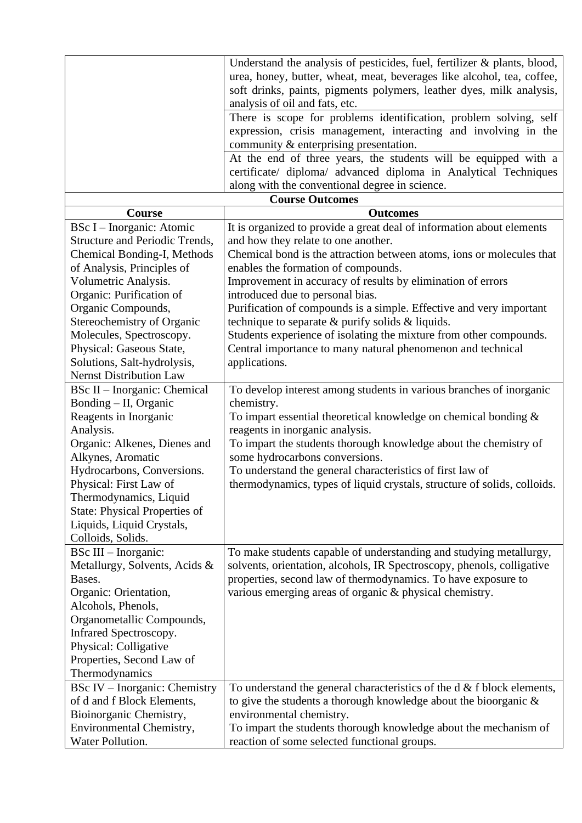| Understand the analysis of pesticides, fuel, fertilizer $\&$ plants, blood,<br>urea, honey, butter, wheat, meat, beverages like alcohol, tea, coffee,<br>soft drinks, paints, pigments polymers, leather dyes, milk analysis,<br>analysis of oil and fats, etc.<br>There is scope for problems identification, problem solving, self<br>expression, crisis management, interacting and involving in the<br>community & enterprising presentation.<br>At the end of three years, the students will be equipped with a<br>certificate/ diploma/ advanced diploma in Analytical Techniques<br>along with the conventional degree in science.<br><b>Course Outcomes</b><br><b>Course</b><br><b>Outcomes</b><br>BSc I - Inorganic: Atomic<br>It is organized to provide a great deal of information about elements<br>Structure and Periodic Trends,<br>and how they relate to one another.<br>Chemical Bonding-I, Methods<br>Chemical bond is the attraction between atoms, ions or molecules that<br>of Analysis, Principles of<br>enables the formation of compounds.<br>Volumetric Analysis.<br>Improvement in accuracy of results by elimination of errors<br>Organic: Purification of<br>introduced due to personal bias.<br>Purification of compounds is a simple. Effective and very important<br>Organic Compounds,<br>Stereochemistry of Organic<br>technique to separate & purify solids & liquids.<br>Molecules, Spectroscopy.<br>Students experience of isolating the mixture from other compounds. |
|-------------------------------------------------------------------------------------------------------------------------------------------------------------------------------------------------------------------------------------------------------------------------------------------------------------------------------------------------------------------------------------------------------------------------------------------------------------------------------------------------------------------------------------------------------------------------------------------------------------------------------------------------------------------------------------------------------------------------------------------------------------------------------------------------------------------------------------------------------------------------------------------------------------------------------------------------------------------------------------------------------------------------------------------------------------------------------------------------------------------------------------------------------------------------------------------------------------------------------------------------------------------------------------------------------------------------------------------------------------------------------------------------------------------------------------------------------------------------------------------------------------|
|                                                                                                                                                                                                                                                                                                                                                                                                                                                                                                                                                                                                                                                                                                                                                                                                                                                                                                                                                                                                                                                                                                                                                                                                                                                                                                                                                                                                                                                                                                             |
|                                                                                                                                                                                                                                                                                                                                                                                                                                                                                                                                                                                                                                                                                                                                                                                                                                                                                                                                                                                                                                                                                                                                                                                                                                                                                                                                                                                                                                                                                                             |
|                                                                                                                                                                                                                                                                                                                                                                                                                                                                                                                                                                                                                                                                                                                                                                                                                                                                                                                                                                                                                                                                                                                                                                                                                                                                                                                                                                                                                                                                                                             |
|                                                                                                                                                                                                                                                                                                                                                                                                                                                                                                                                                                                                                                                                                                                                                                                                                                                                                                                                                                                                                                                                                                                                                                                                                                                                                                                                                                                                                                                                                                             |
|                                                                                                                                                                                                                                                                                                                                                                                                                                                                                                                                                                                                                                                                                                                                                                                                                                                                                                                                                                                                                                                                                                                                                                                                                                                                                                                                                                                                                                                                                                             |
|                                                                                                                                                                                                                                                                                                                                                                                                                                                                                                                                                                                                                                                                                                                                                                                                                                                                                                                                                                                                                                                                                                                                                                                                                                                                                                                                                                                                                                                                                                             |
|                                                                                                                                                                                                                                                                                                                                                                                                                                                                                                                                                                                                                                                                                                                                                                                                                                                                                                                                                                                                                                                                                                                                                                                                                                                                                                                                                                                                                                                                                                             |
|                                                                                                                                                                                                                                                                                                                                                                                                                                                                                                                                                                                                                                                                                                                                                                                                                                                                                                                                                                                                                                                                                                                                                                                                                                                                                                                                                                                                                                                                                                             |
|                                                                                                                                                                                                                                                                                                                                                                                                                                                                                                                                                                                                                                                                                                                                                                                                                                                                                                                                                                                                                                                                                                                                                                                                                                                                                                                                                                                                                                                                                                             |
|                                                                                                                                                                                                                                                                                                                                                                                                                                                                                                                                                                                                                                                                                                                                                                                                                                                                                                                                                                                                                                                                                                                                                                                                                                                                                                                                                                                                                                                                                                             |
|                                                                                                                                                                                                                                                                                                                                                                                                                                                                                                                                                                                                                                                                                                                                                                                                                                                                                                                                                                                                                                                                                                                                                                                                                                                                                                                                                                                                                                                                                                             |
|                                                                                                                                                                                                                                                                                                                                                                                                                                                                                                                                                                                                                                                                                                                                                                                                                                                                                                                                                                                                                                                                                                                                                                                                                                                                                                                                                                                                                                                                                                             |
|                                                                                                                                                                                                                                                                                                                                                                                                                                                                                                                                                                                                                                                                                                                                                                                                                                                                                                                                                                                                                                                                                                                                                                                                                                                                                                                                                                                                                                                                                                             |
|                                                                                                                                                                                                                                                                                                                                                                                                                                                                                                                                                                                                                                                                                                                                                                                                                                                                                                                                                                                                                                                                                                                                                                                                                                                                                                                                                                                                                                                                                                             |
|                                                                                                                                                                                                                                                                                                                                                                                                                                                                                                                                                                                                                                                                                                                                                                                                                                                                                                                                                                                                                                                                                                                                                                                                                                                                                                                                                                                                                                                                                                             |
|                                                                                                                                                                                                                                                                                                                                                                                                                                                                                                                                                                                                                                                                                                                                                                                                                                                                                                                                                                                                                                                                                                                                                                                                                                                                                                                                                                                                                                                                                                             |
|                                                                                                                                                                                                                                                                                                                                                                                                                                                                                                                                                                                                                                                                                                                                                                                                                                                                                                                                                                                                                                                                                                                                                                                                                                                                                                                                                                                                                                                                                                             |
|                                                                                                                                                                                                                                                                                                                                                                                                                                                                                                                                                                                                                                                                                                                                                                                                                                                                                                                                                                                                                                                                                                                                                                                                                                                                                                                                                                                                                                                                                                             |
|                                                                                                                                                                                                                                                                                                                                                                                                                                                                                                                                                                                                                                                                                                                                                                                                                                                                                                                                                                                                                                                                                                                                                                                                                                                                                                                                                                                                                                                                                                             |
|                                                                                                                                                                                                                                                                                                                                                                                                                                                                                                                                                                                                                                                                                                                                                                                                                                                                                                                                                                                                                                                                                                                                                                                                                                                                                                                                                                                                                                                                                                             |
| Physical: Gaseous State,<br>Central importance to many natural phenomenon and technical                                                                                                                                                                                                                                                                                                                                                                                                                                                                                                                                                                                                                                                                                                                                                                                                                                                                                                                                                                                                                                                                                                                                                                                                                                                                                                                                                                                                                     |
| applications.<br>Solutions, Salt-hydrolysis,                                                                                                                                                                                                                                                                                                                                                                                                                                                                                                                                                                                                                                                                                                                                                                                                                                                                                                                                                                                                                                                                                                                                                                                                                                                                                                                                                                                                                                                                |
| <b>Nernst Distribution Law</b>                                                                                                                                                                                                                                                                                                                                                                                                                                                                                                                                                                                                                                                                                                                                                                                                                                                                                                                                                                                                                                                                                                                                                                                                                                                                                                                                                                                                                                                                              |
| To develop interest among students in various branches of inorganic<br><b>BSc II</b> – Inorganic: Chemical                                                                                                                                                                                                                                                                                                                                                                                                                                                                                                                                                                                                                                                                                                                                                                                                                                                                                                                                                                                                                                                                                                                                                                                                                                                                                                                                                                                                  |
| Bonding - II, Organic<br>chemistry.                                                                                                                                                                                                                                                                                                                                                                                                                                                                                                                                                                                                                                                                                                                                                                                                                                                                                                                                                                                                                                                                                                                                                                                                                                                                                                                                                                                                                                                                         |
| To impart essential theoretical knowledge on chemical bonding $\&$<br>Reagents in Inorganic                                                                                                                                                                                                                                                                                                                                                                                                                                                                                                                                                                                                                                                                                                                                                                                                                                                                                                                                                                                                                                                                                                                                                                                                                                                                                                                                                                                                                 |
| Analysis.<br>reagents in inorganic analysis.                                                                                                                                                                                                                                                                                                                                                                                                                                                                                                                                                                                                                                                                                                                                                                                                                                                                                                                                                                                                                                                                                                                                                                                                                                                                                                                                                                                                                                                                |
| Organic: Alkenes, Dienes and<br>To impart the students thorough knowledge about the chemistry of                                                                                                                                                                                                                                                                                                                                                                                                                                                                                                                                                                                                                                                                                                                                                                                                                                                                                                                                                                                                                                                                                                                                                                                                                                                                                                                                                                                                            |
| some hydrocarbons conversions.<br>Alkynes, Aromatic                                                                                                                                                                                                                                                                                                                                                                                                                                                                                                                                                                                                                                                                                                                                                                                                                                                                                                                                                                                                                                                                                                                                                                                                                                                                                                                                                                                                                                                         |
| Hydrocarbons, Conversions.<br>To understand the general characteristics of first law of                                                                                                                                                                                                                                                                                                                                                                                                                                                                                                                                                                                                                                                                                                                                                                                                                                                                                                                                                                                                                                                                                                                                                                                                                                                                                                                                                                                                                     |
| Physical: First Law of<br>thermodynamics, types of liquid crystals, structure of solids, colloids.                                                                                                                                                                                                                                                                                                                                                                                                                                                                                                                                                                                                                                                                                                                                                                                                                                                                                                                                                                                                                                                                                                                                                                                                                                                                                                                                                                                                          |
| Thermodynamics, Liquid                                                                                                                                                                                                                                                                                                                                                                                                                                                                                                                                                                                                                                                                                                                                                                                                                                                                                                                                                                                                                                                                                                                                                                                                                                                                                                                                                                                                                                                                                      |
| <b>State: Physical Properties of</b>                                                                                                                                                                                                                                                                                                                                                                                                                                                                                                                                                                                                                                                                                                                                                                                                                                                                                                                                                                                                                                                                                                                                                                                                                                                                                                                                                                                                                                                                        |
| Liquids, Liquid Crystals,                                                                                                                                                                                                                                                                                                                                                                                                                                                                                                                                                                                                                                                                                                                                                                                                                                                                                                                                                                                                                                                                                                                                                                                                                                                                                                                                                                                                                                                                                   |
| Colloids, Solids.                                                                                                                                                                                                                                                                                                                                                                                                                                                                                                                                                                                                                                                                                                                                                                                                                                                                                                                                                                                                                                                                                                                                                                                                                                                                                                                                                                                                                                                                                           |
| $BSc III - Inorganic:$<br>To make students capable of understanding and studying metallurgy,                                                                                                                                                                                                                                                                                                                                                                                                                                                                                                                                                                                                                                                                                                                                                                                                                                                                                                                                                                                                                                                                                                                                                                                                                                                                                                                                                                                                                |
| Metallurgy, Solvents, Acids &<br>solvents, orientation, alcohols, IR Spectroscopy, phenols, colligative                                                                                                                                                                                                                                                                                                                                                                                                                                                                                                                                                                                                                                                                                                                                                                                                                                                                                                                                                                                                                                                                                                                                                                                                                                                                                                                                                                                                     |
| properties, second law of thermodynamics. To have exposure to<br>Bases.                                                                                                                                                                                                                                                                                                                                                                                                                                                                                                                                                                                                                                                                                                                                                                                                                                                                                                                                                                                                                                                                                                                                                                                                                                                                                                                                                                                                                                     |
| various emerging areas of organic & physical chemistry.<br>Organic: Orientation,                                                                                                                                                                                                                                                                                                                                                                                                                                                                                                                                                                                                                                                                                                                                                                                                                                                                                                                                                                                                                                                                                                                                                                                                                                                                                                                                                                                                                            |
| Alcohols, Phenols,                                                                                                                                                                                                                                                                                                                                                                                                                                                                                                                                                                                                                                                                                                                                                                                                                                                                                                                                                                                                                                                                                                                                                                                                                                                                                                                                                                                                                                                                                          |
| Organometallic Compounds,                                                                                                                                                                                                                                                                                                                                                                                                                                                                                                                                                                                                                                                                                                                                                                                                                                                                                                                                                                                                                                                                                                                                                                                                                                                                                                                                                                                                                                                                                   |
| Infrared Spectroscopy.                                                                                                                                                                                                                                                                                                                                                                                                                                                                                                                                                                                                                                                                                                                                                                                                                                                                                                                                                                                                                                                                                                                                                                                                                                                                                                                                                                                                                                                                                      |
| Physical: Colligative                                                                                                                                                                                                                                                                                                                                                                                                                                                                                                                                                                                                                                                                                                                                                                                                                                                                                                                                                                                                                                                                                                                                                                                                                                                                                                                                                                                                                                                                                       |
| Properties, Second Law of                                                                                                                                                                                                                                                                                                                                                                                                                                                                                                                                                                                                                                                                                                                                                                                                                                                                                                                                                                                                                                                                                                                                                                                                                                                                                                                                                                                                                                                                                   |
| Thermodynamics                                                                                                                                                                                                                                                                                                                                                                                                                                                                                                                                                                                                                                                                                                                                                                                                                                                                                                                                                                                                                                                                                                                                                                                                                                                                                                                                                                                                                                                                                              |
| <b>BSc IV</b> – Inorganic: Chemistry<br>To understand the general characteristics of the $d \& f$ block elements,                                                                                                                                                                                                                                                                                                                                                                                                                                                                                                                                                                                                                                                                                                                                                                                                                                                                                                                                                                                                                                                                                                                                                                                                                                                                                                                                                                                           |
| of d and f Block Elements,<br>to give the students a thorough knowledge about the bioorganic $\&$                                                                                                                                                                                                                                                                                                                                                                                                                                                                                                                                                                                                                                                                                                                                                                                                                                                                                                                                                                                                                                                                                                                                                                                                                                                                                                                                                                                                           |
| Bioinorganic Chemistry,<br>environmental chemistry.                                                                                                                                                                                                                                                                                                                                                                                                                                                                                                                                                                                                                                                                                                                                                                                                                                                                                                                                                                                                                                                                                                                                                                                                                                                                                                                                                                                                                                                         |
| To impart the students thorough knowledge about the mechanism of<br>Environmental Chemistry,                                                                                                                                                                                                                                                                                                                                                                                                                                                                                                                                                                                                                                                                                                                                                                                                                                                                                                                                                                                                                                                                                                                                                                                                                                                                                                                                                                                                                |
| Water Pollution.<br>reaction of some selected functional groups.                                                                                                                                                                                                                                                                                                                                                                                                                                                                                                                                                                                                                                                                                                                                                                                                                                                                                                                                                                                                                                                                                                                                                                                                                                                                                                                                                                                                                                            |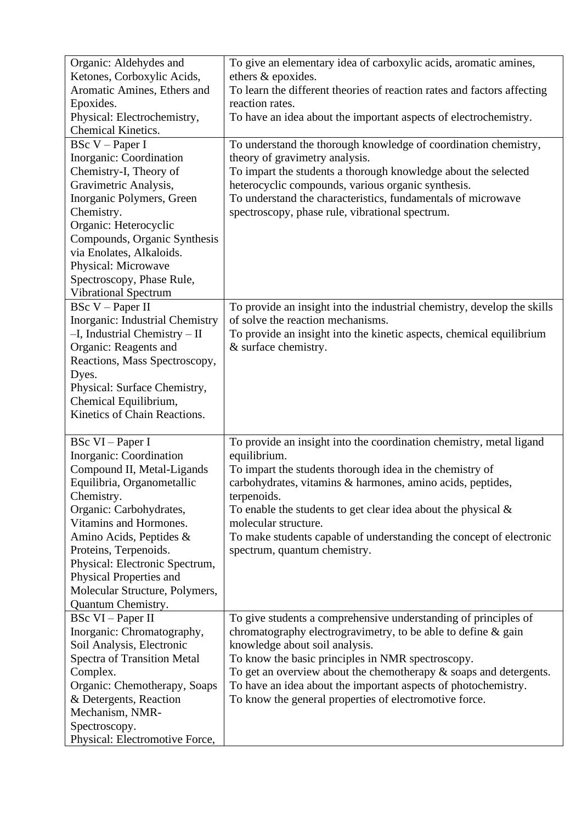| Organic: Aldehydes and                                    | To give an elementary idea of carboxylic acids, aromatic amines,        |
|-----------------------------------------------------------|-------------------------------------------------------------------------|
| Ketones, Corboxylic Acids,                                | ethers & epoxides.                                                      |
| Aromatic Amines, Ethers and                               | To learn the different theories of reaction rates and factors affecting |
| Epoxides.                                                 | reaction rates.                                                         |
| Physical: Electrochemistry,                               | To have an idea about the important aspects of electrochemistry.        |
| Chemical Kinetics.                                        |                                                                         |
| <b>BSc V</b> - Paper I                                    | To understand the thorough knowledge of coordination chemistry,         |
| Inorganic: Coordination                                   | theory of gravimetry analysis.                                          |
| Chemistry-I, Theory of                                    | To impart the students a thorough knowledge about the selected          |
| Gravimetric Analysis,                                     | heterocyclic compounds, various organic synthesis.                      |
| Inorganic Polymers, Green                                 | To understand the characteristics, fundamentals of microwave            |
| Chemistry.                                                | spectroscopy, phase rule, vibrational spectrum.                         |
| Organic: Heterocyclic                                     |                                                                         |
| Compounds, Organic Synthesis                              |                                                                         |
| via Enolates, Alkaloids.                                  |                                                                         |
| Physical: Microwave                                       |                                                                         |
| Spectroscopy, Phase Rule,                                 |                                                                         |
| <b>Vibrational Spectrum</b>                               |                                                                         |
| BSc V – Paper II                                          | To provide an insight into the industrial chemistry, develop the skills |
| Inorganic: Industrial Chemistry                           | of solve the reaction mechanisms.                                       |
| $-I$ , Industrial Chemistry $-I$                          | To provide an insight into the kinetic aspects, chemical equilibrium    |
| Organic: Reagents and                                     | & surface chemistry.                                                    |
| Reactions, Mass Spectroscopy,                             |                                                                         |
| Dyes.                                                     |                                                                         |
| Physical: Surface Chemistry,                              |                                                                         |
| Chemical Equilibrium,                                     |                                                                         |
| Kinetics of Chain Reactions.                              |                                                                         |
|                                                           |                                                                         |
| BSc VI - Paper I                                          | To provide an insight into the coordination chemistry, metal ligand     |
| Inorganic: Coordination                                   | equilibrium.                                                            |
| Compound II, Metal-Ligands                                | To impart the students thorough idea in the chemistry of                |
| Equilibria, Organometallic                                | carbohydrates, vitamins & harmones, amino acids, peptides,              |
| Chemistry.                                                | terpenoids.                                                             |
| Organic: Carbohydrates,                                   | To enable the students to get clear idea about the physical $\&$        |
| Vitamins and Hormones.                                    | molecular structure.                                                    |
| Amino Acids, Peptides &                                   | To make students capable of understanding the concept of electronic     |
| Proteins, Terpenoids.                                     | spectrum, quantum chemistry.                                            |
|                                                           |                                                                         |
| Physical: Electronic Spectrum,<br>Physical Properties and |                                                                         |
| Molecular Structure, Polymers,                            |                                                                         |
| Quantum Chemistry.                                        |                                                                         |
| BSc VI – Paper II                                         | To give students a comprehensive understanding of principles of         |
| Inorganic: Chromatography,                                | chromatography electrogravimetry, to be able to define & gain           |
|                                                           |                                                                         |
| Soil Analysis, Electronic                                 | knowledge about soil analysis.                                          |
| <b>Spectra of Transition Metal</b>                        | To know the basic principles in NMR spectroscopy.                       |
| Complex.                                                  | To get an overview about the chemotherapy $\&$ soaps and detergents.    |
| Organic: Chemotherapy, Soaps                              | To have an idea about the important aspects of photochemistry.          |
| & Detergents, Reaction                                    | To know the general properties of electromotive force.                  |
| Mechanism, NMR-                                           |                                                                         |
| Spectroscopy.                                             |                                                                         |
| Physical: Electromotive Force,                            |                                                                         |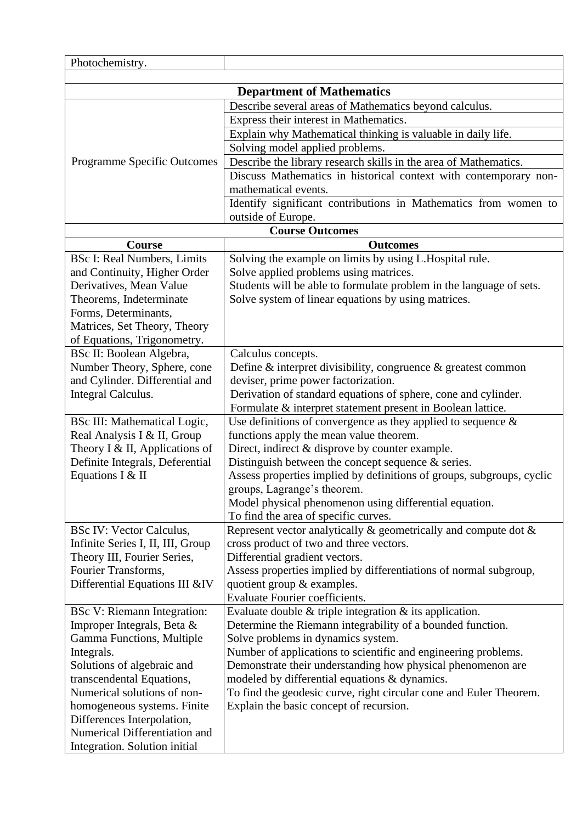| Photochemistry.                    |                                                                       |
|------------------------------------|-----------------------------------------------------------------------|
|                                    |                                                                       |
|                                    | <b>Department of Mathematics</b>                                      |
|                                    | Describe several areas of Mathematics beyond calculus.                |
|                                    | Express their interest in Mathematics.                                |
|                                    | Explain why Mathematical thinking is valuable in daily life.          |
|                                    | Solving model applied problems.                                       |
| <b>Programme Specific Outcomes</b> | Describe the library research skills in the area of Mathematics.      |
|                                    | Discuss Mathematics in historical context with contemporary non-      |
|                                    | mathematical events.                                                  |
|                                    | Identify significant contributions in Mathematics from women to       |
|                                    | outside of Europe.                                                    |
|                                    | <b>Course Outcomes</b>                                                |
| Course                             | <b>Outcomes</b>                                                       |
| <b>BSc I: Real Numbers, Limits</b> | Solving the example on limits by using L.Hospital rule.               |
| and Continuity, Higher Order       | Solve applied problems using matrices.                                |
| Derivatives, Mean Value            | Students will be able to formulate problem in the language of sets.   |
| Theorems, Indeterminate            | Solve system of linear equations by using matrices.                   |
| Forms, Determinants,               |                                                                       |
| Matrices, Set Theory, Theory       |                                                                       |
| of Equations, Trigonometry.        |                                                                       |
| BSc II: Boolean Algebra,           | Calculus concepts.                                                    |
| Number Theory, Sphere, cone        | Define $\&$ interpret divisibility, congruence $\&$ greatest common   |
| and Cylinder. Differential and     | deviser, prime power factorization.                                   |
| Integral Calculus.                 | Derivation of standard equations of sphere, cone and cylinder.        |
|                                    | Formulate & interpret statement present in Boolean lattice.           |
| BSc III: Mathematical Logic,       | Use definitions of convergence as they applied to sequence $\&$       |
| Real Analysis I & II, Group        | functions apply the mean value theorem.                               |
| Theory I & II, Applications of     | Direct, indirect & disprove by counter example.                       |
| Definite Integrals, Deferential    | Distinguish between the concept sequence $\&$ series.                 |
| Equations I & II                   | Assess properties implied by definitions of groups, subgroups, cyclic |
|                                    | groups, Lagrange's theorem.                                           |
|                                    | Model physical phenomenon using differential equation.                |
|                                    | To find the area of specific curves.                                  |
| <b>BSc IV: Vector Calculus,</b>    | Represent vector analytically $\&$ geometrically and compute dot $\&$ |
| Infinite Series I, II, III, Group  | cross product of two and three vectors.                               |
| Theory III, Fourier Series,        | Differential gradient vectors.                                        |
| Fourier Transforms,                | Assess properties implied by differentiations of normal subgroup,     |
| Differential Equations III &IV     | quotient group & examples.                                            |
|                                    | <b>Evaluate Fourier coefficients.</b>                                 |
| BSc V: Riemann Integration:        | Evaluate double $&$ triple integration $&$ its application.           |
| Improper Integrals, Beta &         | Determine the Riemann integrability of a bounded function.            |
| Gamma Functions, Multiple          | Solve problems in dynamics system.                                    |
| Integrals.                         | Number of applications to scientific and engineering problems.        |
| Solutions of algebraic and         | Demonstrate their understanding how physical phenomenon are           |
| transcendental Equations,          | modeled by differential equations & dynamics.                         |
| Numerical solutions of non-        | To find the geodesic curve, right circular cone and Euler Theorem.    |
| homogeneous systems. Finite        | Explain the basic concept of recursion.                               |
| Differences Interpolation,         |                                                                       |
| Numerical Differentiation and      |                                                                       |
| Integration. Solution initial      |                                                                       |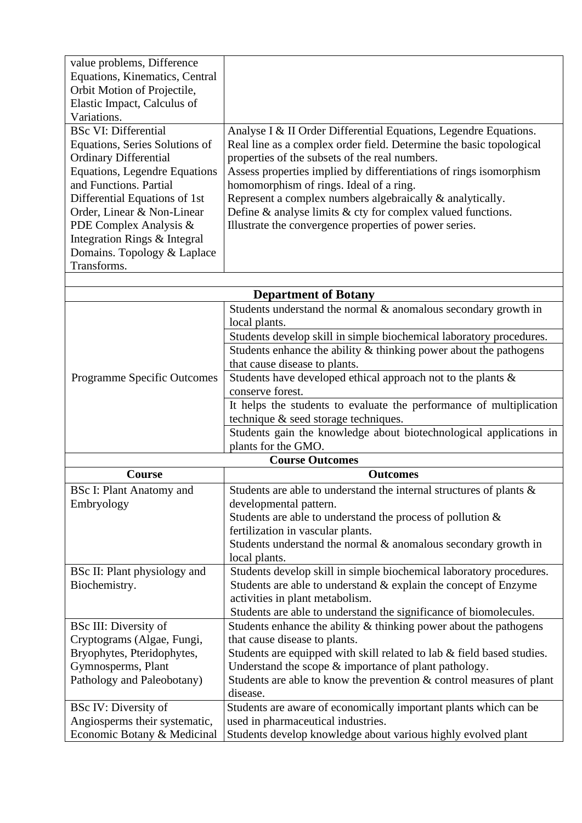| value problems, Difference<br>Equations, Kinematics, Central<br>Orbit Motion of Projectile,<br>Elastic Impact, Calculus of<br>Variations.<br><b>BSc VI: Differential</b><br>Equations, Series Solutions of<br><b>Ordinary Differential</b><br><b>Equations, Legendre Equations</b><br>and Functions. Partial<br>Differential Equations of 1st<br>Order, Linear & Non-Linear<br>PDE Complex Analysis &<br>Integration Rings & Integral<br>Domains. Topology & Laplace<br>Transforms. | Analyse I & II Order Differential Equations, Legendre Equations.<br>Real line as a complex order field. Determine the basic topological<br>properties of the subsets of the real numbers.<br>Assess properties implied by differentiations of rings isomorphism<br>homomorphism of rings. Ideal of a ring.<br>Represent a complex numbers algebraically & analytically.<br>Define $\&$ analyse limits $\&$ cty for complex valued functions.<br>Illustrate the convergence properties of power series.                                    |  |
|-------------------------------------------------------------------------------------------------------------------------------------------------------------------------------------------------------------------------------------------------------------------------------------------------------------------------------------------------------------------------------------------------------------------------------------------------------------------------------------|-------------------------------------------------------------------------------------------------------------------------------------------------------------------------------------------------------------------------------------------------------------------------------------------------------------------------------------------------------------------------------------------------------------------------------------------------------------------------------------------------------------------------------------------|--|
| <b>Department of Botany</b>                                                                                                                                                                                                                                                                                                                                                                                                                                                         |                                                                                                                                                                                                                                                                                                                                                                                                                                                                                                                                           |  |
| <b>Programme Specific Outcomes</b>                                                                                                                                                                                                                                                                                                                                                                                                                                                  | Students understand the normal $&$ anomalous secondary growth in<br>local plants.<br>Students develop skill in simple biochemical laboratory procedures.<br>Students enhance the ability $&$ thinking power about the pathogens<br>that cause disease to plants.<br>Students have developed ethical approach not to the plants &<br>conserve forest.<br>It helps the students to evaluate the performance of multiplication<br>technique & seed storage techniques.<br>Students gain the knowledge about biotechnological applications in |  |
|                                                                                                                                                                                                                                                                                                                                                                                                                                                                                     | plants for the GMO.                                                                                                                                                                                                                                                                                                                                                                                                                                                                                                                       |  |
|                                                                                                                                                                                                                                                                                                                                                                                                                                                                                     | <b>Course Outcomes</b>                                                                                                                                                                                                                                                                                                                                                                                                                                                                                                                    |  |
| Course                                                                                                                                                                                                                                                                                                                                                                                                                                                                              | <b>Outcomes</b>                                                                                                                                                                                                                                                                                                                                                                                                                                                                                                                           |  |
| <b>BSc I: Plant Anatomy and</b><br>Embryology                                                                                                                                                                                                                                                                                                                                                                                                                                       | Students are able to understand the internal structures of plants $\&$<br>developmental pattern.<br>Students are able to understand the process of pollution $\&$<br>fertilization in vascular plants.<br>Students understand the normal $\&$ anomalous secondary growth in<br>local plants.                                                                                                                                                                                                                                              |  |
| BSc II: Plant physiology and<br>Biochemistry.                                                                                                                                                                                                                                                                                                                                                                                                                                       | Students develop skill in simple biochemical laboratory procedures.<br>Students are able to understand $&$ explain the concept of Enzyme<br>activities in plant metabolism.<br>Students are able to understand the significance of biomolecules.                                                                                                                                                                                                                                                                                          |  |
| <b>BSc III: Diversity of</b><br>Cryptograms (Algae, Fungi,<br>Bryophytes, Pteridophytes,<br>Gymnosperms, Plant<br>Pathology and Paleobotany)<br><b>BSc IV: Diversity of</b>                                                                                                                                                                                                                                                                                                         | Students enhance the ability $\&$ thinking power about the pathogens<br>that cause disease to plants.<br>Students are equipped with skill related to lab & field based studies.<br>Understand the scope $\&$ importance of plant pathology.<br>Students are able to know the prevention $\&$ control measures of plant<br>disease.<br>Students are aware of economically important plants which can be                                                                                                                                    |  |
| Angiosperms their systematic,<br>Economic Botany & Medicinal                                                                                                                                                                                                                                                                                                                                                                                                                        | used in pharmaceutical industries.<br>Students develop knowledge about various highly evolved plant                                                                                                                                                                                                                                                                                                                                                                                                                                       |  |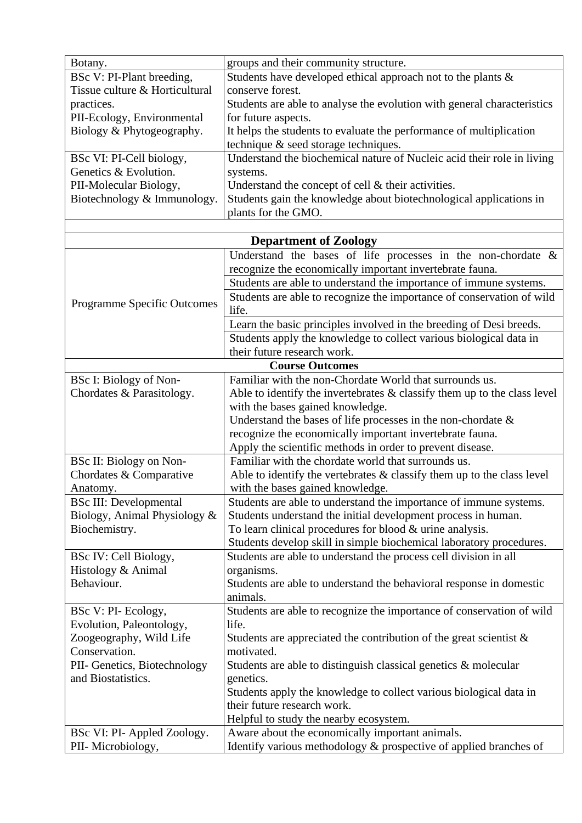| Botany.                                  | groups and their community structure.                                               |
|------------------------------------------|-------------------------------------------------------------------------------------|
| BSc V: PI-Plant breeding,                | Students have developed ethical approach not to the plants &                        |
| Tissue culture & Horticultural           | conserve forest.                                                                    |
| practices.                               | Students are able to analyse the evolution with general characteristics             |
| PII-Ecology, Environmental               | for future aspects.                                                                 |
| Biology & Phytogeography.                | It helps the students to evaluate the performance of multiplication                 |
|                                          | technique & seed storage techniques.                                                |
| BSc VI: PI-Cell biology,                 | Understand the biochemical nature of Nucleic acid their role in living              |
| Genetics & Evolution.                    | systems.                                                                            |
| PII-Molecular Biology,                   | Understand the concept of cell $&$ their activities.                                |
| Biotechnology & Immunology.              | Students gain the knowledge about biotechnological applications in                  |
|                                          | plants for the GMO.                                                                 |
|                                          |                                                                                     |
|                                          | <b>Department of Zoology</b>                                                        |
|                                          | Understand the bases of life processes in the non-chordate $\&$                     |
|                                          | recognize the economically important invertebrate fauna.                            |
|                                          | Students are able to understand the importance of immune systems.                   |
|                                          | Students are able to recognize the importance of conservation of wild               |
| <b>Programme Specific Outcomes</b>       | life.                                                                               |
|                                          | Learn the basic principles involved in the breeding of Desi breeds.                 |
|                                          | Students apply the knowledge to collect various biological data in                  |
|                                          | their future research work.                                                         |
|                                          | <b>Course Outcomes</b>                                                              |
| BSc I: Biology of Non-                   | Familiar with the non-Chordate World that surrounds us.                             |
| Chordates & Parasitology.                | Able to identify the invertebrates $\&$ classify them up to the class level         |
|                                          | with the bases gained knowledge.                                                    |
|                                          | Understand the bases of life processes in the non-chordate $\&$                     |
|                                          | recognize the economically important invertebrate fauna.                            |
|                                          | Apply the scientific methods in order to prevent disease.                           |
| BSc II: Biology on Non-                  | Familiar with the chordate world that surrounds us.                                 |
| Chordates & Comparative                  | Able to identify the vertebrates $&$ classify them up to the class level            |
| Anatomy.                                 | with the bases gained knowledge.                                                    |
| <b>BSc III: Developmental</b>            | Students are able to understand the importance of immune systems.                   |
| Biology, Animal Physiology &             | Students understand the initial development process in human.                       |
| Biochemistry.                            | To learn clinical procedures for blood $&$ urine analysis.                          |
|                                          | Students develop skill in simple biochemical laboratory procedures.                 |
| BSc IV: Cell Biology,                    | Students are able to understand the process cell division in all                    |
| Histology & Animal                       | organisms.                                                                          |
| Behaviour.                               | Students are able to understand the behavioral response in domestic                 |
|                                          | animals.                                                                            |
| BSc V: PI-Ecology,                       | Students are able to recognize the importance of conservation of wild               |
| Evolution, Paleontology,                 | life.                                                                               |
|                                          |                                                                                     |
| Zoogeography, Wild Life<br>Conservation. | Students are appreciated the contribution of the great scientist $\&$<br>motivated. |
| PII- Genetics, Biotechnology             | Students are able to distinguish classical genetics $\&$ molecular                  |
| and Biostatistics.                       | genetics.                                                                           |
|                                          |                                                                                     |
|                                          | Students apply the knowledge to collect various biological data in                  |
|                                          | their future research work.                                                         |
|                                          | Helpful to study the nearby ecosystem.                                              |
| BSc VI: PI- Appled Zoology.              | Aware about the economically important animals.                                     |
| PII- Microbiology,                       | Identify various methodology & prospective of applied branches of                   |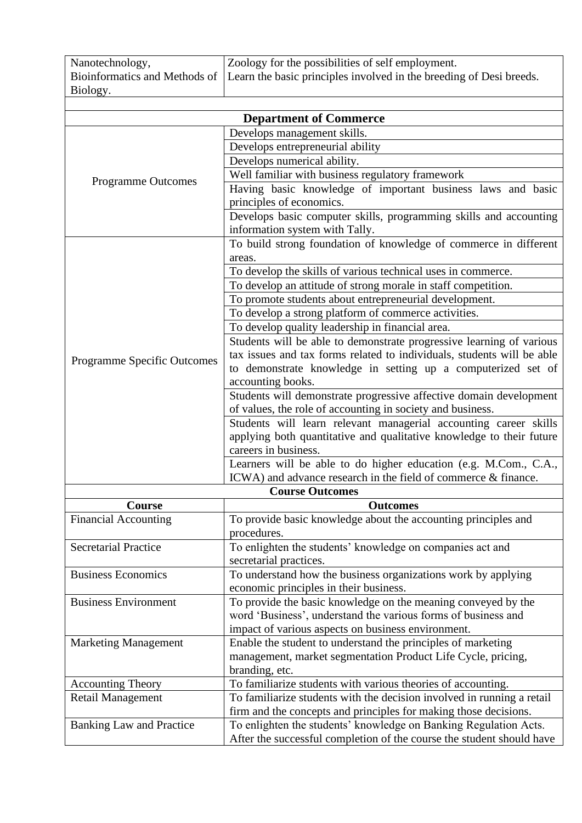| Nanotechnology, | Zoology for the possibilities of self employment.                                                 |
|-----------------|---------------------------------------------------------------------------------------------------|
|                 | Bioinformatics and Methods of Learn the basic principles involved in the breeding of Desi breeds. |
| Biology.        |                                                                                                   |
|                 |                                                                                                   |

|                                 | <b>Department of Commerce</b>                                          |
|---------------------------------|------------------------------------------------------------------------|
|                                 | Develops management skills.                                            |
|                                 | Develops entrepreneurial ability                                       |
|                                 | Develops numerical ability.                                            |
|                                 | Well familiar with business regulatory framework                       |
| Programme Outcomes              | Having basic knowledge of important business laws and basic            |
|                                 | principles of economics.                                               |
|                                 | Develops basic computer skills, programming skills and accounting      |
|                                 | information system with Tally.                                         |
|                                 | To build strong foundation of knowledge of commerce in different       |
|                                 | areas.                                                                 |
|                                 | To develop the skills of various technical uses in commerce.           |
|                                 | To develop an attitude of strong morale in staff competition.          |
|                                 | To promote students about entrepreneurial development.                 |
|                                 | To develop a strong platform of commerce activities.                   |
|                                 |                                                                        |
|                                 | To develop quality leadership in financial area.                       |
|                                 | Students will be able to demonstrate progressive learning of various   |
| Programme Specific Outcomes     | tax issues and tax forms related to individuals, students will be able |
|                                 | to demonstrate knowledge in setting up a computerized set of           |
|                                 | accounting books.                                                      |
|                                 | Students will demonstrate progressive affective domain development     |
|                                 | of values, the role of accounting in society and business.             |
|                                 | Students will learn relevant managerial accounting career skills       |
|                                 | applying both quantitative and qualitative knowledge to their future   |
|                                 | careers in business.                                                   |
|                                 | Learners will be able to do higher education (e.g. M.Com., C.A.,       |
|                                 | ICWA) and advance research in the field of commerce & finance.         |
|                                 | <b>Course Outcomes</b>                                                 |
| <b>Course</b>                   | <b>Outcomes</b>                                                        |
| <b>Financial Accounting</b>     | To provide basic knowledge about the accounting principles and         |
|                                 | procedures.                                                            |
| <b>Secretarial Practice</b>     | To enlighten the students' knowledge on companies act and              |
|                                 | secretarial practices.                                                 |
| <b>Business Economics</b>       | To understand how the business organizations work by applying          |
|                                 | economic principles in their business.                                 |
| <b>Business Environment</b>     | To provide the basic knowledge on the meaning conveyed by the          |
| <b>Marketing Management</b>     | word 'Business', understand the various forms of business and          |
|                                 | impact of various aspects on business environment.                     |
|                                 | Enable the student to understand the principles of marketing           |
|                                 | management, market segmentation Product Life Cycle, pricing,           |
|                                 | branding, etc.                                                         |
| <b>Accounting Theory</b>        | To familiarize students with various theories of accounting.           |
| <b>Retail Management</b>        | To familiarize students with the decision involved in running a retail |
|                                 | firm and the concepts and principles for making those decisions.       |
| <b>Banking Law and Practice</b> | To enlighten the students' knowledge on Banking Regulation Acts.       |
|                                 | After the successful completion of the course the student should have  |
|                                 |                                                                        |